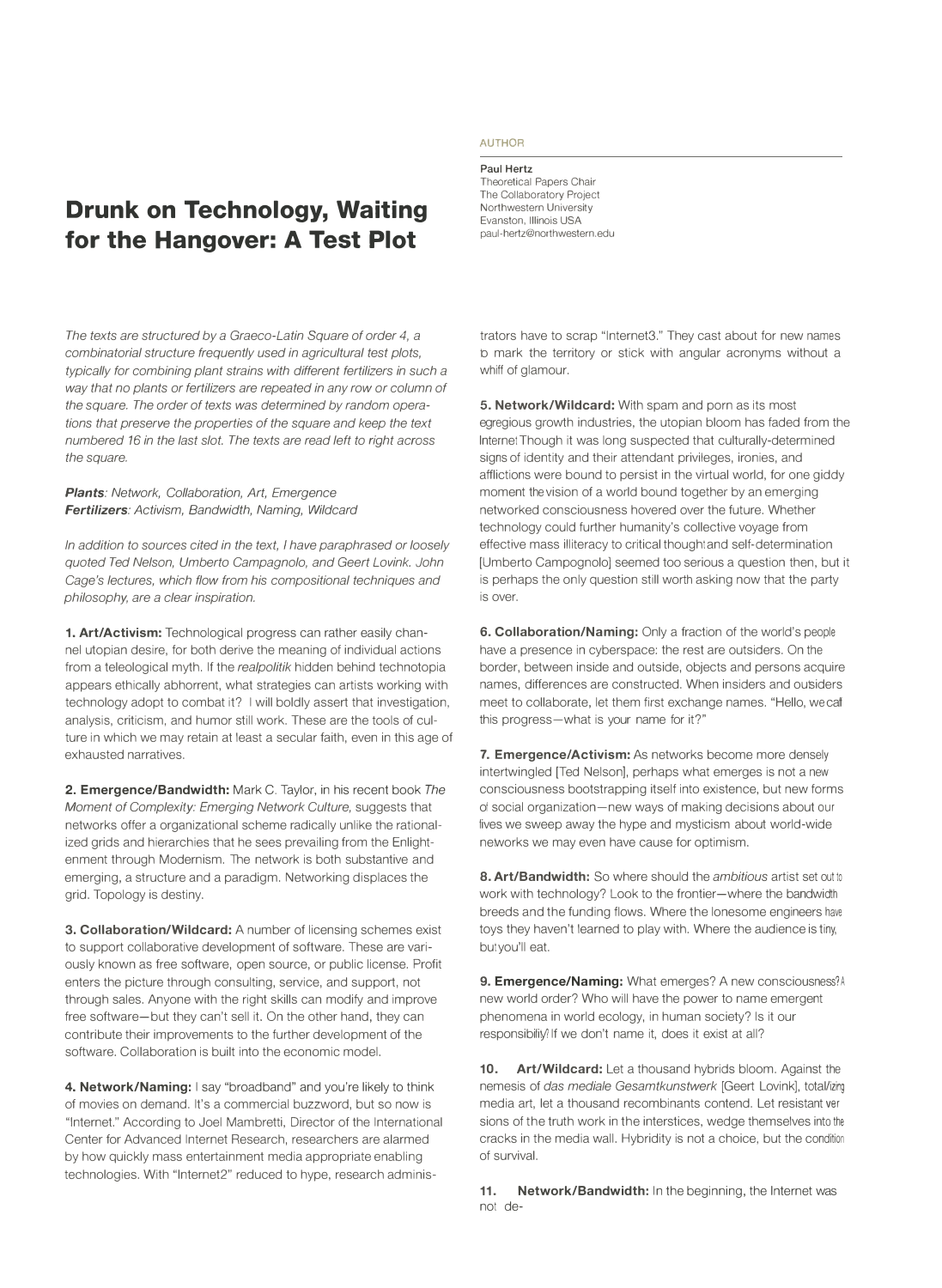## **Drunk on Technology, Waiting for the Hangover: A Test Plot**

*The texts are structured by a Graeco-Latin Square of order 4, a combinatorial structure frequently used in agricultural test plots, typically for combining plant strains with different fertilizers in such a way that no plants or fertilizers are repeated in any row or column of the square. The order of texts was determined by random operations that preserve the properties of the square and keep the text numbered 16 in the last slot. The texts are read left to right across the square.* 

*Plants: Network, Collaboration, Art, Emergence Fertilizers: Activism, Bandwidth, Naming, Wildcard* 

*In addition to sources cited in the text, I have paraphrased or loosely quoted Ted Nelson, Umberto Campagnolo, and Geert Lovink. John Cage's lectures, which flow from his compositional techniques and philosophy, are a clear inspiration.* 

**1. Art/Activism:** Technological progress can rather easily channel utopian desire, for both derive the meaning of individual actions from a teleological myth. If the *realpolitik* hidden behind technotopia appears ethically abhorrent, what strategies can artists working with technology adopt to combat it? I will boldly assert that investigation, analysis, criticism, and humor still work. These are the tools of culture in which we may retain at least a secular faith, even in this age of exhausted narratives.

**2. Emergence/Bandwidth:** Mark C. Taylor, in his recent book *The Moment of Complexity: Emerging Network Culture,* suggests that networks offer a organizational scheme radically unlike the rationalized grids and hierarchies that he sees prevailing from the Enlightenment through Modernism. The network is both substantive and emerging, a structure and a paradigm. Networking displaces the grid. Topology is destiny.

**3. Collaboration/Wildcard:** A number of licensing schemes exist to support collaborative development of software. These are variously known as free software, open source, or public license. Profit enters the picture through consulting, service, and support, not through sales. Anyone with the right skills can modify and improve free software-but they can't sell it. On the other hand, they can contribute their improvements to the further development of the software. Collaboration is built into the economic model.

**4. Network/Naming:** I say "broadband" and you're likely to think of movies on demand. It's a commercial buzzword, but so now is "Internet." According to Joel Mambretti, Director of the International Center for Advanced Internet Research, researchers are alarmed by how quickly mass entertainment media appropriate enabling technologies. With "lnternet2" reduced to hype, research adminis-

## **AUTHOR**

**Paul Hertz** 

Theoretical Papers Chair The Collaboratory Project Northwestern University Evanston, Illinois USA paul-hertz@northwestern.edu

trators have to scrap "lnternet3." They cast about for new names to mark the territory or stick with angular acronyms without a whiff of glamour.

**5. Network/Wildcard:** With spam and porn as its most egregious growth industries, the utopian bloom has faded from the Internet Though it was long suspected that culturally-determined signs of identity and their attendant privileges, ironies, and afflictions were bound to persist in the virtual world, for one giddy moment the vision of a world bound together by an emerging networked consciousness hovered over the future. Whether technology could further humanity's collective voyage from effective mass illiteracy to critical thought and self-determination [Umberto Campognolo] seemed too serious a question then, but it is perhaps the only question still worth asking now that the party is over.

**6. Collaboration/Naming:** Only a fraction of the world's people have a presence in cyberspace: the rest are outsiders. On the border, between inside and outside, objects and persons acquire names, differences are constructed. When insiders and outsiders meet to collaborate, let them first exchange names. "Hello, we call this progress-what is your name for it?"

**7. Emergence/Activism:** As networks become more densely intertwingled [Ted Nelson], perhaps what emerges is not a new consciousness bootstrapping itself into existence, but new forms of social organization-new ways of making decisions about our lives we sweep away the hype and mysticism about world-wide networks we may even have cause for optimism.

**8. Art/Bandwidth:** So where should the *ambitious* artist set out to work with technology? Look to the frontier-where the bandwidth breeds and the funding flows. Where the lonesome engineers have toys they haven't learned to play with. Where the audience is tiny, but you'll eat.

**9. Emergence/Naming:** What emerges? A new consciousness? A new world order? Who will have the power to name emergent phenomena in world ecology, in human society? Is it our responsibility? If we don't name it, does it exist at all?

**10. Art/Wildcard:** Let a thousand hybrids bloom. Against the nemesis of *das mediate Gesamtkunstwerk* [Geert Lovink], total/izing media art, let a thousand recombinants contend. Let resistant versions of the truth work in the interstices, wedge themselves into the cracks in the media wall. Hybridity is not a choice, but the condition of survival.

**11. Network/Bandwidth:** In the beginning, the Internet was not de